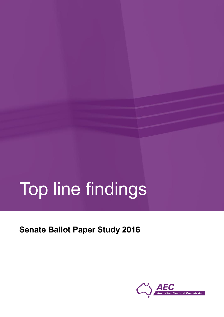# Top line findings

**Senate Ballot Paper Study 2016**

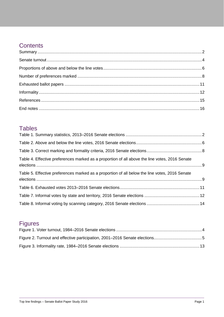## **Contents**

### **Tables**

| Table 4. Effective preferences marked as a proportion of all above the line votes, 2016 Senate |  |
|------------------------------------------------------------------------------------------------|--|
| Table 5. Effective preferences marked as a proportion of all below the line votes, 2016 Senate |  |
|                                                                                                |  |
|                                                                                                |  |
|                                                                                                |  |

## Figures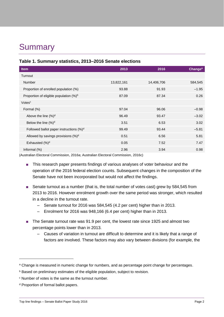# <span id="page-2-0"></span>**Summary**

<span id="page-2-1"></span>

|  | Table 1. Summary statistics, 2013-2016 Senate elections |
|--|---------------------------------------------------------|
|--|---------------------------------------------------------|

| Item                                                | 2013       | 2016       | Change <sup>a</sup> |
|-----------------------------------------------------|------------|------------|---------------------|
| Turnout                                             |            |            |                     |
| <b>Number</b>                                       | 13,822,161 | 14,406,706 | 584,545             |
| Proportion of enrolled population (%)               | 93.88      | 91.93      | $-1.95$             |
| Proportion of eligible population (%) <sup>b</sup>  | 87.09      | 87.34      | 0.26                |
| Votes <sup>c</sup>                                  |            |            |                     |
| Formal (%)                                          | 97.04      | 96.06      | $-0.98$             |
| Above the line $(\%)^d$                             | 96.49      | 93.47      | $-3.02$             |
| Below the line $(\%)^d$                             | 3.51       | 6.53       | 3.02                |
| Followed ballot paper instructions (%) <sup>d</sup> | 99.49      | 93.44      | $-5.81$             |
| Allowed by savings provisions (%) <sup>d</sup>      | 0.51       | 6.56       | 5.81                |
| Exhausted (%) <sup>d</sup>                          | 0.05       | 7.52       | 7.47                |
| Informal $(\%)$                                     | 2.96       | 3.94       | 0.98                |

<span id="page-2-2"></span>(Australian Electoral Commission, 2016a; Australian Electoral Commission, 2016c)

- This research paper presents findings of various analyses of voter behaviour and the operation of the 2016 federal election counts. Subsequent changes in the composition of the Senate have not been incorporated but would not affect the findings.
- Senate turnout as a number (that is, the total number of votes cast) grew by 584,545 from 2013 to 2016. However enrolment growth over the same period was stronger, which resulted in a decline in the turnout rate.
	- Senate turnout for 2016 was 584,545 (4.2 per cent) higher than in 2013.
	- Enrolment for 2016 was 948,166 (6.4 per cent) higher than in 2013.
- The Senate turnout rate was 91.9 per cent, the lowest rate since 1925 and almost two percentage points lower than in 2013.
	- Causes of variation in turnout are difficult to determine and it is likely that a range of factors are involved. These factors may also vary between divisions (for example, the

**.** 

<sup>&</sup>lt;sup>a</sup> Change is measured in numeric change for numbers, and as percentage point change for percentages.

b Based on preliminary estimates of the eligible population, subject to revision.

<sup>c</sup> Number of votes is the same as the turnout number.

<sup>d</sup> Proportion of formal ballot papers.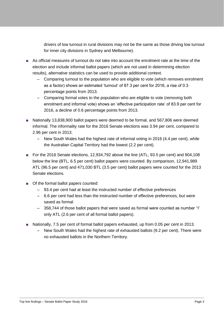drivers of low turnout in rural divisions may not be the same as those driving low turnout for inner city divisions in Sydney and Melbourne).

- As official measures of turnout do not take into account the enrolment rate at the time of the election and include informal ballot papers (which are not used in determining election results), alternative statistics can be used to provide additional context.
	- Comparing turnout to the population who are eligible to vote (which removes enrolment as a factor) shows an estimated 'turnout' of 87.3 per cent for 2016, a rise of 0.3 percentage points from 2013.
	- Comparing formal votes to the population who are eligible to vote (removing both enrolment and informal vote) shows an 'effective participation rate' of 83.9 per cent for 2016, a decline of 0.6 percentage points from 2013.
- Nationally 13,838,900 ballot papers were deemed to be formal, and 567,806 were deemed informal. The informality rate for the 2016 Senate elections was 3.94 per cent, compared to 2.96 per cent in 2013.
	- New South Wales had the highest rate of informal voting in 2016 (4.4 per cent), while the Australian Capital Territory had the lowest (2.2 per cent).
- For the 2016 Senate elections, 12,934,792 above the line (ATL, 93.5 per cent) and 904,108 below the line (BTL, 6.5 per cent) ballot papers were counted. By comparison, 12,941,989 ATL (96.5 per cent) and 471,030 BTL (3.5 per cent) ballot papers were counted for the 2013 Senate elections.
- Of the formal ballot papers counted:
	- 93.4 per cent had at least the instructed number of effective preferences
	- 6.6 per cent had less than the instructed number of effective preferences, but were saved as formal
	- 358,744 of those ballot papers that were saved as formal were counted as number '1' only ATL (2.6 per cent of all formal ballot papers).
- Nationally, 7.5 per cent of formal ballot papers exhausted, up from 0.05 per cent in 2013.
	- New South Wales had the highest rate of exhausted ballots (9.2 per cent). There were no exhausted ballots in the Northern Territory.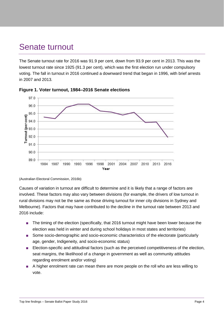## <span id="page-4-0"></span>Senate turnout

The Senate turnout rate for 2016 was 91.9 per cent, down from 93.9 per cent in 2013. This was the lowest turnout rate since 1925 (91.3 per cent), which was the first election run under compulsory voting. The fall in turnout in 2016 continued a downward trend that began in 1996, with brief arrests in 2007 and 2013.



<span id="page-4-1"></span>

(Australian Electoral Commission, 2016b)

Causes of variation in turnout are difficult to determine and it is likely that a range of factors are involved. These factors may also vary between divisions (for example, the drivers of low turnout in rural divisions may not be the same as those driving turnout for inner city divisions in Sydney and Melbourne). Factors that may have contributed to the decline in the turnout rate between 2013 and 2016 include:

- The timing of the election (specifically, that 2016 turnout might have been lower because the election was held in winter and during school holidays in most states and territories)
- Some socio-demographic and socio-economic characteristics of the electorate (particularly age, gender, Indigeneity, and socio-economic status)
- Election-specific and attitudinal factors (such as the perceived competitiveness of the election, seat margins, the likelihood of a change in government as well as community attitudes regarding enrolment and/or voting)
- A higher enrolment rate can mean there are more people on the roll who are less willing to vote.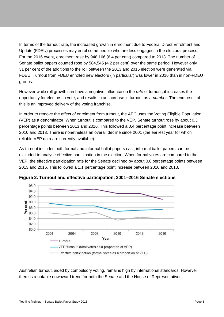In terms of the turnout rate, the increased growth in enrolment due to Federal Direct Enrolment and Update (FDEU) processes may enrol some people who are less engaged in the electoral process. For the 2016 event, enrolment rose by 948,166 (6.4 per cent) compared to 2013. The number of Senate ballot papers counted rose by 584,545 (4.2 per cent) over the same period. However only 31 per cent of the additions to the roll between the 2013 and 2016 election were generated via FDEU. Turnout from FDEU enrolled new electors (in particular) was lower in 2016 than in non-FDEU groups.

However while roll growth can have a negative influence on the *rate* of turnout, it increases the opportunity for electors to vote, and results in an increase in turnout as a *number*. The end result of this is an improved delivery of the voting franchise.

In order to remove the effect of enrolment from turnout, the AEC uses the Voting Eligible Population (VEP) as a denominator. When turnout is compared to the VEP, Senate turnout rose by about 0.3 percentage points between 2013 and 2016. This followed a 0.4 percentage point increase between 2010 and 2013. There is nonetheless an overall decline since 2001 (the earliest year for which reliable VEP data are currently available).

As turnout includes both formal and informal ballot papers cast, informal ballot papers can be excluded to analyse effective participation in the election. When formal votes are compared to the VEP, the effective participation rate for the Senate declined by about 0.6 percentage points between 2013 and 2016. This followed a 1.1 percentage point increase between 2010 and 2013.



<span id="page-5-0"></span>**Figure 2. Turnout and effective participation, 2001–2016 Senate elections**

Australian turnout, aided by compulsory voting, remains high by international standards. However there is a notable downward trend for both the Senate and the House of Representatives.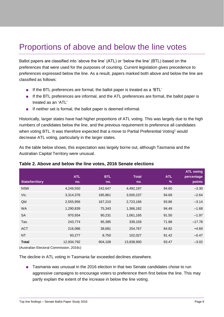## <span id="page-6-0"></span>Proportions of above and below the line votes

Ballot papers are classified into 'above the line' (ATL) or 'below the line' (BTL) based on the preferences that were used for the purposes of counting. Current legislation gives precedence to preferences expressed below the line. As a result, papers marked both above and below the line are classified as follows:

- If the BTL preferences are formal, the ballot paper is treated as a 'BTL'
- If the BTL preferences are informal, and the ATL preferences are formal, the ballot paper is treated as an 'ATL'
- If neither set is formal, the ballot paper is deemed informal.

Historically, larger states have had higher proportions of ATL voting. This was largely due to the high numbers of candidates below the line, and the previous requirement to preference all candidates when voting BTL. It was therefore expected that a move to Partial Preferential Voting<sup>1</sup> would decrease ATL voting, particularly in the larger states.

As the table below shows, this expectation was largely borne out, although Tasmania and the Australian Capital Territory were unusual.

| <b>ATL</b><br>no. | <b>BTL</b><br>no. | <b>Total</b><br>no. | <b>ATL</b><br>$\frac{9}{6}$ | <b>ATL swing</b><br>percentage<br>points |
|-------------------|-------------------|---------------------|-----------------------------|------------------------------------------|
| 4,249,550         | 242,647           | 4,492,197           | 94.60                       | $-3.30$                                  |
| 3,314,376         | 185,861           | 3,500,237           | 94.69                       | $-2.64$                                  |
| 2,555,956         | 167,210           | 2,723,166           | 93.86                       | $-3.14$                                  |
| 1,290,839         | 75,343            | 1,366,182           | 94.49                       | $-1.68$                                  |
| 970,934           | 90,231            | 1,061,165           | 91.50                       | $-1.97$                                  |
| 243,774           | 95,385            | 339,159             | 71.88                       | $-17.78$                                 |
| 216,086           | 38,681            | 254,767             | 84.82                       | $+4.69$                                  |
| 93,277            | 8,750             | 102,027             | 91.42                       | $-0.47$                                  |
| 12,934,792        | 904,108           | 13,838,900          | 93.47                       | $-3.02$                                  |
|                   |                   |                     |                             |                                          |

#### <span id="page-6-1"></span>**Table 2. Above and below the line votes, 2016 Senate elections**

(Australian Electoral Commission, 2016c)

The decline in ATL voting in Tasmania far exceeded declines elsewhere.

■ Tasmania was unusual in the 2016 election in that two Senate candidates chose to run aggressive campaigns to encourage voters to preference them first below the line. This may partly explain the extent of the increase in below the line voting.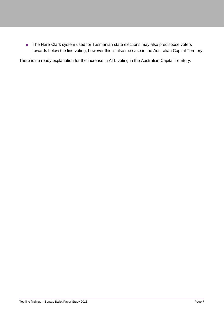■ The Hare-Clark system used for Tasmanian state elections may also predispose voters towards below the line voting, however this is also the case in the Australian Capital Territory.

There is no ready explanation for the increase in ATL voting in the Australian Capital Territory.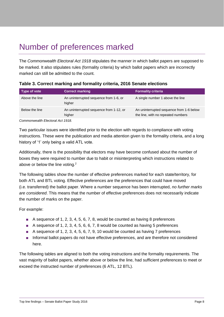# <span id="page-8-0"></span>Number of preferences marked

The *Commonwealth Electoral Act 1918* stipulates the manner in which ballot papers are supposed to be marked. It also stipulates rules (formality criteria) by which ballot papers which are incorrectly marked can still be admitted to the count.

| Type of vote   | <b>Correct marking</b>                            | <b>Formality criteria</b>                                                      |
|----------------|---------------------------------------------------|--------------------------------------------------------------------------------|
| Above the line | An uninterrupted sequence from 1-6, or<br>higher  | A single number 1 above the line                                               |
| Below the line | An uninterrupted sequence from 1-12, or<br>higher | An uninterrupted sequence from 1-6 below<br>the line, with no repeated numbers |

<span id="page-8-1"></span>

| Table 3. Correct marking and formality criteria, 2016 Senate elections |  |  |  |  |
|------------------------------------------------------------------------|--|--|--|--|
|------------------------------------------------------------------------|--|--|--|--|

*Commonwealth Electoral Act 1918.*

Two particular issues were identified prior to the election with regards to compliance with voting instructions. These were the publication and media attention given to the formality criteria, and a long history of '1' only being a valid ATL vote.

Additionally, there is the possibility that electors may have become confused about the number of boxes they were required to number due to habit or misinterpreting which instructions related to above or below the line voting.<sup>2</sup>

The following tables show the number of effective preferences marked for each state/territory, for both ATL and BTL voting. Effective preferences are the preferences that could have moved (i.e. transferred) the ballot paper. Where a number sequence has been interrupted, *no further marks are considered*. This means that the number of effective preferences does not necessarily indicate the number of marks on the paper.

For example:

- A sequence of 1, 2, 3, 4, 5, 6, 7, 8, would be counted as having 8 preferences
- A sequence of 1, 2, 3, 4, 5, 6, 6, 7, 8 would be counted as having 5 preferences
- $\blacksquare$  A sequence of 1, 2, 3, 4, 5, 6, 7, 9, 10 would be counted as having 7 preferences
- Informal ballot papers do not have effective preferences, and are therefore not considered here.

The following tables are aligned to both the voting instructions and the formality requirements. The vast majority of ballot papers, whether above or below the line, had sufficient preferences to meet or exceed the instructed number of preferences (6 ATL, 12 BTL).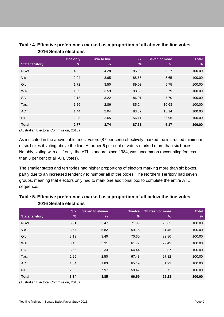|                        | One only | Two to five | <b>Six</b>    | <b>Seven or more</b> | <b>Total</b>  |
|------------------------|----------|-------------|---------------|----------------------|---------------|
| <b>State/territory</b> | $\%$     | %           | $\frac{9}{6}$ | $\frac{9}{6}$        | $\frac{9}{6}$ |
| <b>NSW</b>             | 4.52     | 4.28        | 85.93         | 5.27                 | 100.00        |
| Vic                    | 2.04     | 3.65        | 88.65         | 5.65                 | 100.00        |
| Qld                    | 1.72     | 3.50        | 89.03         | 5.75                 | 100.00        |
| <b>WA</b>              | 1.99     | 3.59        | 88.63         | 5.79                 | 100.00        |
| <b>SA</b>              | 2.18     | 3.22        | 86.91         | 7.70                 | 100.00        |
| Tas.                   | 1.26     | 2.86        | 85.24         | 10.63                | 100.00        |
| <b>ACT</b>             | 1.44     | 2.04        | 83.37         | 13.14                | 100.00        |
| <b>NT</b>              | 2.28     | 2.65        | 56.11         | 38.95                | 100.00        |
| <b>Total</b>           | 2.77     | 3.74        | 87.31         | 6.17                 | 100.00        |

#### <span id="page-9-0"></span>**Table 4. Effective preferences marked as a proportion of all above the line votes, 2016 Senate elections**

(Australian Electoral Commission, 2016a)

As indicated in the above table, most voters (87 per cent) effectively marked the instructed minimum of six boxes if voting above the line. A further 6 per cent of voters marked more than six boxes. Notably, voting with a '1' only, the ATL standard since 1984, was uncommon (accounting for less than 3 per cent of all ATL votes).

The smaller states and territories had higher proportions of electors marking more than six boxes, partly due to an increased tendency to number all of the boxes. The Northern Territory had seven groups, meaning that electors only had to mark one additional box to complete the entire ATL sequence.

|                        | 2016 Senate elections       |                      |                    |                              |                               |
|------------------------|-----------------------------|----------------------|--------------------|------------------------------|-------------------------------|
| <b>State/territory</b> | <b>Six</b><br>$\frac{9}{6}$ | Seven to eleven<br>% | <b>Twelve</b><br>% | <b>Thirteen or more</b><br>% | <b>Total</b><br>$\frac{9}{6}$ |
| <b>NSW</b>             | 3.91                        | 3.47                 | 71.99              | 20.63                        | 100.00                        |
| Vic                    | 3.57                        | 5.82                 | 59.15              | 31.45                        | 100.00                        |
| Qld                    | 3.19                        | 3.40                 | 70.60              | 22.80                        | 100.00                        |
| <b>WA</b>              | 3.43                        | 5.31                 | 61.77              | 29.49                        | 100.00                        |
| <b>SA</b>              | 3.66                        | 2.33                 | 64.44              | 29.57                        | 100.00                        |
| Tas.                   | 2.25                        | 2.50                 | 67.43              | 27.82                        | 100.00                        |
| <b>ACT</b>             | 1.04                        | 1.83                 | 65.19              | 31.93                        | 100.00                        |
| <b>NT</b>              | 2.89                        | 7.97                 | 58.42              | 30.72                        | 100.00                        |
| <b>Total</b>           | 3.34                        | 3.85                 | 66.59              | 26.23                        | 100.00                        |

#### <span id="page-9-1"></span>**Table 5. Effective preferences marked as a proportion of all below the line votes, 2016 Senate elections**

(Australian Electoral Commission, 2016a)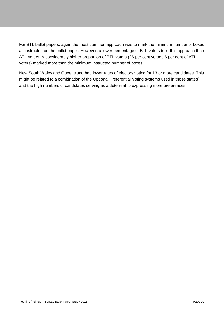For BTL ballot papers, again the most common approach was to mark the minimum number of boxes as instructed on the ballot paper. However, a lower percentage of BTL voters took this approach than ATL voters. A considerably higher proportion of BTL voters (26 per cent verses 6 per cent of ATL voters) marked more than the minimum instructed number of boxes.

New South Wales and Queensland had lower rates of electors voting for 13 or more candidates. This might be related to a combination of the Optional Preferential Voting systems used in those states<sup>3</sup>, and the high numbers of candidates serving as a deterrent to expressing more preferences.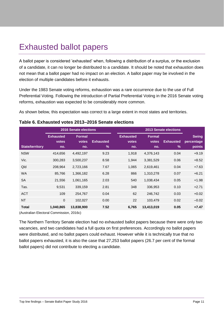# <span id="page-11-0"></span>Exhausted ballot papers

A ballot paper is considered 'exhausted' when, following a distribution of a surplus, or the exclusion of a candidate, it can no longer be distributed to a candidate. It should be noted that exhaustion does not mean that a ballot paper had no impact on an election. A ballot paper may be involved in the election of multiple candidates before it exhausts.

Under the 1983 Senate voting reforms, exhaustion was a rare occurrence due to the use of Full Preferential Voting. Following the introduction of Partial Preferential Voting in the 2016 Senate voting reforms, exhaustion was expected to be considerably more common.

As shown below, this expectation was correct to a large extent in most states and territories.

|                        | <b>2016 Senate elections</b>            |                        |                                   | <b>2013 Senate elections</b>            |                               |                          |                                      |
|------------------------|-----------------------------------------|------------------------|-----------------------------------|-----------------------------------------|-------------------------------|--------------------------|--------------------------------------|
| <b>State/territory</b> | <b>Exhausted</b><br><b>votes</b><br>no. | Formal<br>votes<br>no. | <b>Exhausted</b><br>$\frac{9}{6}$ | <b>Exhausted</b><br><b>votes</b><br>no. | <b>Formal</b><br>votes<br>no. | <b>Exhausted</b><br>$\%$ | <b>Swing</b><br>percentage<br>points |
| <b>NSW</b>             | 414,656                                 | 4,492,197              | 9.23                              | 1,918                                   | 4,376,143                     | 0.04                     | $+9.19$                              |
| Vic.                   | 300,283                                 | 3,500,237              | 8.58                              | 1,944                                   | 3,381,529                     | 0.06                     | $+8.52$                              |
| Qld                    | 208,964                                 | 2,723,166              | 7.67                              | 1,065                                   | 2,619,461                     | 0.04                     | $+7.63$                              |
| <b>WA</b>              | 85,766                                  | 1,366,182              | 6.28                              | 866                                     | 1,310,278                     | 0.07                     | $+6.21$                              |
| <b>SA</b>              | 21,556                                  | 1,061,165              | 2.03                              | 540                                     | 1,038,434                     | 0.05                     | $+1.98$                              |
| Tas.                   | 9,531                                   | 339,159                | 2.81                              | 348                                     | 336,953                       | 0.10                     | $+2.71$                              |
| <b>ACT</b>             | 109                                     | 254,767                | 0.04                              | 62                                      | 246,742                       | 0.03                     | $+0.02$                              |
| <b>NT</b>              | $\mathbf{0}$                            | 102,027                | 0.00                              | 22                                      | 103,479                       | 0.02                     | $-0.02$                              |
| <b>Total</b>           | 1,040,865                               | 13,838,900             | 7.52                              | 6,765                                   | 13,413,019                    | 0.05                     | $+7.47$                              |

#### <span id="page-11-1"></span>**Table 6. Exhausted votes 2013–2016 Senate elections**

(Australian Electoral Commission, 2016c)

The Northern Territory Senate election had no exhausted ballot papers because there were only two vacancies, and two candidates had a full quota on first preferences. Accordingly no ballot papers were distributed, and no ballot papers could exhaust. However while it is technically true that no ballot papers exhausted, it is also the case that 27,253 ballot papers (26.7 per cent of the formal ballot papers) did not contribute to electing a candidate.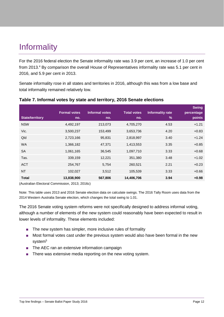# <span id="page-12-0"></span>**Informality**

For the 2016 federal election the Senate informality rate was 3.9 per cent, an increase of 1.0 per cent from 2013.<sup>4</sup> By comparison the overall House of Representatives informality rate was 5.1 per cent in 2016, and 5.9 per cent in 2013.

Senate informality rose in all states and territories in 2016, although this was from a low base and total informality remained relatively low.

| <b>State/territory</b> | <b>Formal votes</b><br>no. | <b>Informal votes</b><br>no. | <b>Total votes</b><br>no. | <b>Informality rate</b><br>$\frac{9}{6}$ | <b>Swing</b><br>percentage<br>points |
|------------------------|----------------------------|------------------------------|---------------------------|------------------------------------------|--------------------------------------|
| <b>NSW</b>             | 4,492,197                  | 213,073                      | 4,705,270                 | 4.53                                     | $+1.21$                              |
| Vic.                   | 3,500,237                  | 153,499                      | 3,653,736                 | 4.20                                     | $+0.83$                              |
| Qld                    | 2,723,166                  | 95,831                       | 2,818,997                 | 3.40                                     | $+1.24$                              |
| <b>WA</b>              | 1,366,182                  | 47,371                       | 1,413,553                 | 3.35                                     | $+0.85$                              |
| <b>SA</b>              | 1,061,165                  | 36,545                       | 1,097,710                 | 3.33                                     | $+0.68$                              |
| Tas.                   | 339,159                    | 12,221                       | 351,380                   | 3.48                                     | $+1.02$                              |
| <b>ACT</b>             | 254,767                    | 5,754                        | 260,521                   | 2.21                                     | $+0.23$                              |
| <b>NT</b>              | 102,027                    | 3,512                        | 105,539                   | 3.33                                     | $+0.66$                              |
| <b>Total</b>           | 13,838,900                 | 567,806                      | 14,406,706                | 3.94                                     | $+0.98$                              |
|                        |                            |                              |                           |                                          |                                      |

#### <span id="page-12-1"></span>**Table 7. Informal votes by state and territory, 2016 Senate elections**

(Australian Electoral Commission, 2013; 2016c)

Note: This table uses 2013 and 2016 Senate election data on calculate swings. The 2016 Tally Room uses data from the 2014 Western Australia Senate election, which changes the total swing to 1.01.

The 2016 Senate voting system reforms were not specifically designed to address informal voting, although a number of elements of the new system could reasonably have been expected to result in lower levels of informality. These elements included:

- The new system has simpler, more inclusive rules of formality
- Most formal votes cast under the previous system would also have been formal in the new system<sup>5</sup>
- The AEC ran an extensive information campaign
- There was extensive media reporting on the new voting system.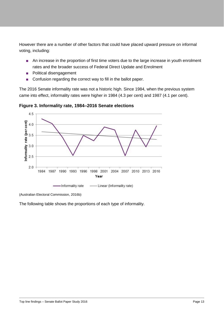However there are a number of other factors that could have placed upward pressure on informal voting, including:

- An increase in the proportion of first time voters due to the large increase in youth enrolment rates and the broader success of Federal Direct Update and Enrolment
- Political disengagement
- Confusion regarding the correct way to fill in the ballot paper.

The 2016 Senate informality rate was not a historic high. Since 1984, when the previous system came into effect, informality rates were higher in 1984 (4.3 per cent) and 1987 (4.1 per cent).



<span id="page-13-0"></span>**Figure 3. Informality rate, 1984–2016 Senate elections**

The following table shows the proportions of each type of informality.

<sup>(</sup>Australian Electoral Commission, 2016b)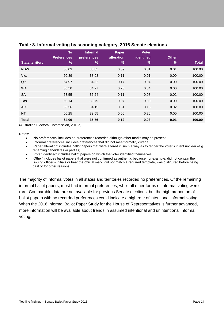|                        | <b>No</b><br><b>Preferences</b> | <b>Informal</b><br>preferences | <b>Paper</b><br>alteration | <b>Voter</b><br>identified | <b>Other</b>  |              |
|------------------------|---------------------------------|--------------------------------|----------------------------|----------------------------|---------------|--------------|
| <b>State/territory</b> | %                               | $\%$                           | %                          | $\%$                       | $\frac{9}{6}$ | <b>Total</b> |
| <b>NSW</b>             | 66.03                           | 33.85                          | 0.09                       | 0.01                       | 0.01          | 100.00       |
| Vic.                   | 60.89                           | 38.98                          | 0.11                       | 0.01                       | 0.00          | 100.00       |
| Qld                    | 64.97                           | 34.82                          | 0.17                       | 0.04                       | 0.00          | 100.00       |
| <b>WA</b>              | 65.50                           | 34.27                          | 0.20                       | 0.04                       | 0.00          | 100.00       |
| <b>SA</b>              | 63.55                           | 36.24                          | 0.11                       | 0.08                       | 0.02          | 100.00       |
| Tas.                   | 60.14                           | 39.79                          | 0.07                       | 0.00                       | 0.00          | 100.00       |
| <b>ACT</b>             | 65.36                           | 34.15                          | 0.31                       | 0.16                       | 0.02          | 100.00       |
| <b>NT</b>              | 60.25                           | 39.55                          | 0.00                       | 0.20                       | 0.00          | 100.00       |
| <b>Total</b>           | 64.09                           | 35.76                          | 0.12                       | 0.03                       | 0.01          | 100.00       |

#### <span id="page-14-0"></span>**Table 8. Informal voting by scanning category, 2016 Senate elections**

(Australian Electoral Commission, 2016a)

Notes:

- 'No preferences' includes no preferences recorded although other marks may be present
- 'Informal preferences' includes preferences that did not meet formality criteria
- 'Paper alteration' includes ballot papers that were altered in such a way as to render the voter's intent unclear (e.g. renaming candidates or parties)
- 'Voter Identified' includes ballot papers on which the voter identified themselves
- 'Other' includes ballot papers that were not confirmed as authentic because, for example, did not contain the issuing officer's initials or bear the official mark, did not match a required template, was disfigured before being cast or for other reasons.

The majority of informal votes in all states and territories recorded no preferences. Of the remaining informal ballot papers, most had informal preferences, while all other forms of informal voting were rare. Comparable data are not available for previous Senate elections, but the high proportion of ballot papers with no recorded preferences could indicate a high rate of intentional informal voting. When the 2016 Informal Ballot Paper Study for the House of Representatives is further advanced, more information will be available about trends in assumed intentional and unintentional informal voting.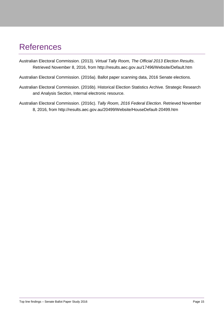## <span id="page-15-0"></span>References

- Australian Electoral Commission. (2013). *Virtual Tally Room, The Official 2013 Election Results*. Retrieved November 8, 2016, from http://results.aec.gov.au/17496/Website/Default.htm
- Australian Electoral Commission. (2016a). Ballot paper scanning data, 2016 Senate elections.
- Australian Electoral Commission. (2016b). Historical Election Statistics Archive. Strategic Research and Analysis Section, Internal electronic resource.
- Australian Electoral Commission. (2016c). *Tally Room, 2016 Federal Election*. Retrieved November 8, 2016, from http://results.aec.gov.au/20499/Website/HouseDefault-20499.htm